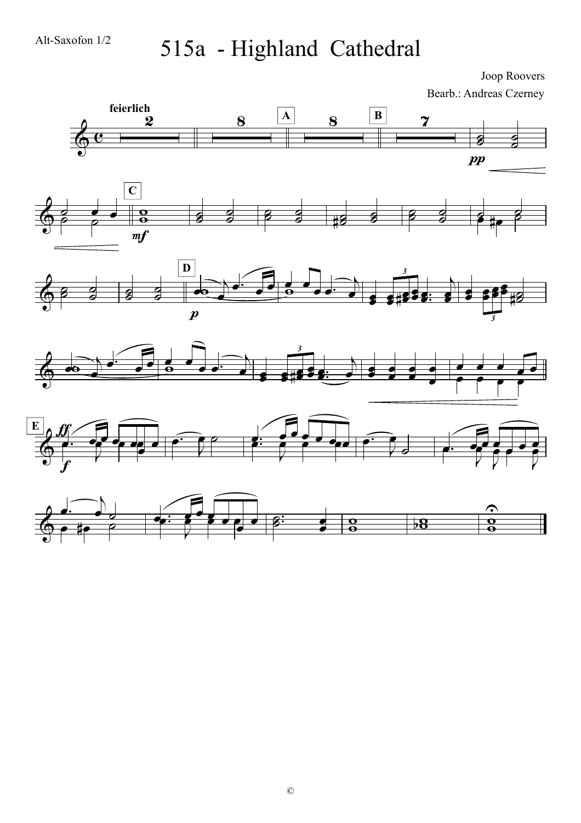## 515a - Highland Cathedral

Joop Roovers Bearb.: Andreas Czerney

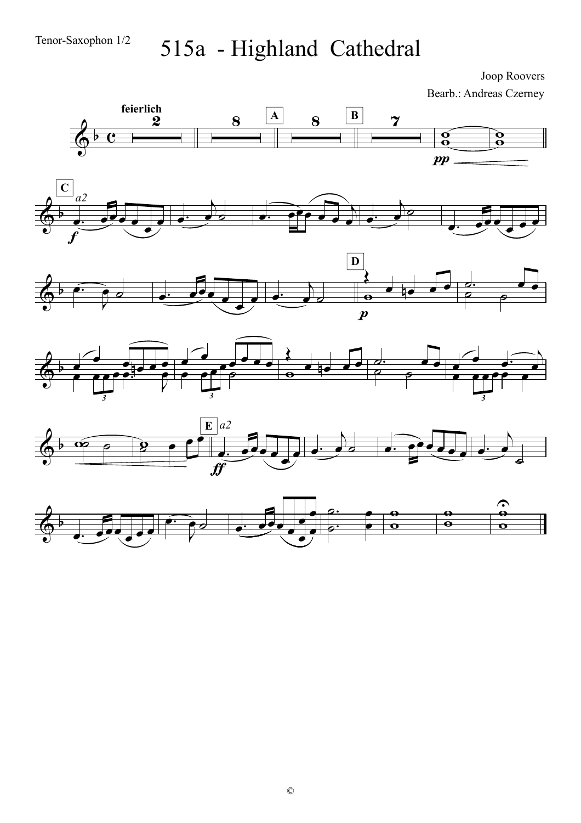œ

J

## 515a - Highland Cathedral

Joop Roovers Bearb.: Andreas Czerney



œ